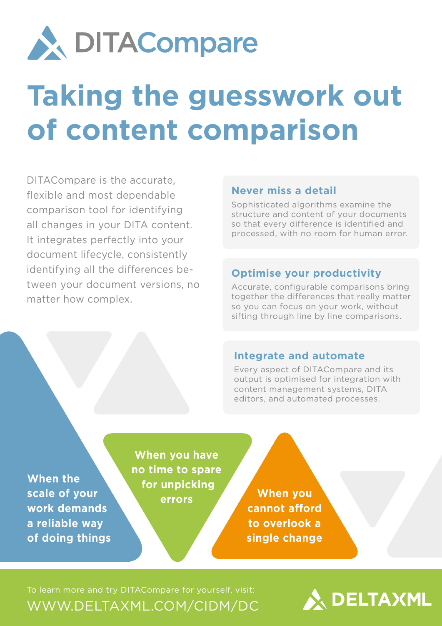

# **Taking the guesswork out of content comparison**

DITACompare is the accurate, flexible and most dependable comparison tool for identifying all changes in your DITA content. It integrates perfectly into your document lifecycle, consistently identifying all the differences between your document versions, no matter how complex.

#### **Never miss a detail**

Sophisticated algorithms examine the structure and content of your documents so that every difference is identified and processed, with no room for human error.

### **Optimise your productivity**

Accurate, configurable comparisons bring together the differences that really matter so you can focus on your work, without sifting through line by line comparisons.

#### **Integrate and automate**

Every aspect of DITACompare and its output is optimised for integration with content management systems, DITA editors, and automated processes.

**When the scale of your work demands a reliable way of doing things**

**When you have no time to spare for unpicking errors**

**When you cannot afford to overlook a single change**

To learn more and try DITACompare for yourself, visit: [WWW.DELTAXML.COM/CIDM/DC](http://www.deltaxml.com/CIDM/DC)